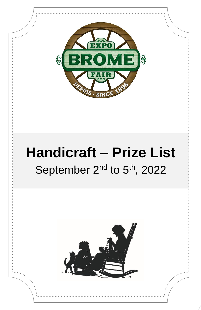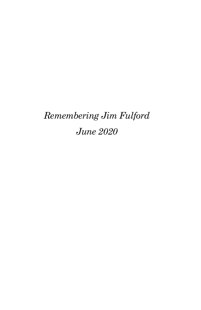# *Remembering Jim Fulford June 2020*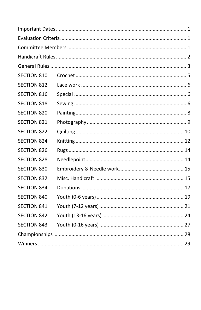| <b>SECTION 810</b> |  |
|--------------------|--|
| <b>SECTION 812</b> |  |
| <b>SECTION 816</b> |  |
| <b>SECTION 818</b> |  |
| <b>SECTION 820</b> |  |
| <b>SECTION 821</b> |  |
| <b>SECTION 822</b> |  |
| <b>SECTION 824</b> |  |
| <b>SECTION 826</b> |  |
| <b>SECTION 828</b> |  |
| <b>SECTION 830</b> |  |
| <b>SECTION 832</b> |  |
| <b>SECTION 834</b> |  |
| <b>SECTION 840</b> |  |
| <b>SECTION 841</b> |  |
| <b>SECTION 842</b> |  |
| <b>SECTION 843</b> |  |
|                    |  |
|                    |  |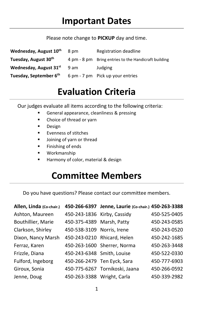#### Please note change to **PICKUP** day and time.

<span id="page-4-0"></span>

| Wednesday, August 10th             | 8 pm | Registration deadline                                |
|------------------------------------|------|------------------------------------------------------|
| Tuesday, August 30 <sup>th</sup>   |      | 4 pm - 8 pm Bring entries to the Handicraft building |
| Wednesday, August 31st             | 9 am | Judging                                              |
| Tuesday, September 6 <sup>th</sup> |      | 6 pm - 7 pm Pick up your entries                     |

## **Evaluation Criteria**

<span id="page-4-1"></span>Our judges evaluate all items according to the following criteria:

- General appearance, cleanliness & pressing
- Choice of thread or yarn
- Design
- Evenness of stitches
- Joining of yarn or thread
- Finishing of ends
- Workmanship
- Harmony of color, material & design

## **Committee Members**

<span id="page-4-2"></span>Do you have questions? Please contact our committee members.

| Allen, Linda (Co-chair.) |                             | 450-266-6397 Jenne, Laurie (Co-chair.) 450-263-3388 |              |
|--------------------------|-----------------------------|-----------------------------------------------------|--------------|
| Ashton, Maureen          | 450-243-1836 Kirby, Cassidy |                                                     | 450-525-0405 |
| Bouthillier, Marie       | 450-375-4389 Marsh, Patty   |                                                     | 450-243-0585 |
| Clarkson, Shirley        | 450-538-3109 Norris, Irene  |                                                     | 450-243-0520 |
| Dixon, Nancy Marsh       |                             | 450-243-0210 Rhicard, Helen                         | 450-242-1685 |
| Ferraz, Karen            |                             | 450-263-1600 Sherrer, Norma                         | 450-263-3448 |
| Frizzle, Diana           | 450-243-6348 Smith, Louise  |                                                     | 450-522-0330 |
| Fulford, Ingeborg        | 450-266-2479 Ten Eyck, Sara |                                                     | 450-777-6903 |
| Giroux, Sonia            |                             | 450-775-6267 Tornikoski, Jaana                      | 450-266-0592 |
| Jenne, Doug              | 450-263-3388 Wright, Carla  |                                                     | 450-339-2982 |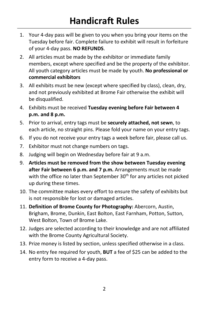- <span id="page-5-0"></span>1. Your 4-day pass will be given to you when you bring your items on the Tuesday before fair. Complete failure to exhibit will result in forfeiture of your 4-day pass. **NO REFUNDS**.
- 2. All articles must be made by the exhibitor or immediate family members, except where specified and be the property of the exhibitor. All youth category articles must be made by youth. **No professional or commercial exhibitors**
- 3. All exhibits must be new (except where specified by class), clean, dry, and not previously exhibited at Brome Fair otherwise the exhibit will be disqualified.
- 4. Exhibits must be received **Tuesday evening before Fair between 4 p.m. and 8 p.m.**
- 5. Prior to arrival, entry tags must be **securely attached, not sewn**, to each article, no straight pins. Please fold your name on your entry tags.
- 6. If you do not receive your entry tags a week before fair, please call us.
- 7. Exhibitor must not change numbers on tags.
- 8. Judging will begin on Wednesday before fair at 9 a.m.
- 9. **Articles must be removed from the show between Tuesday evening after Fair between 6 p.m. and 7 p.m.** Arrangements must be made with the office no later than September 30<sup>th</sup> for any articles not picked up during these times.
- 10. The committee makes every effort to ensure the safety of exhibits but is not responsible for lost or damaged articles.
- 11. **Definition of Brome County for Photography:** Abercorn, Austin, Brigham, Brome, Dunkin, East Bolton, East Farnham, Potton, Sutton, West Bolton, Town of Brome Lake.
- 12. Judges are selected according to their knowledge and are not affiliated with the Brome County Agricultural Society.
- 13. Prize money is listed by section, unless specified otherwise in a class.
- 14. No entry fee required for youth, **BUT** a fee of \$25 can be added to the entry form to receive a 4-day pass.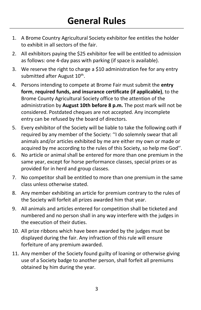- <span id="page-6-0"></span>1. A Brome Country Agricultural Society exhibitor fee entitles the holder to exhibit in all sectors of the fair.
- 2. All exhibitors paying the \$25 exhibitor fee will be entitled to admission as follows: one 4-day pass with parking (if space is available).
- 3. We reserve the right to charge a \$10 administration fee for any entry submitted after August 10<sup>th</sup>.
- 4. Persons intending to compete at Brome Fair must submit the **entry form**, **required funds, and insurance certificate (if applicable)**, to the Brome County Agricultural Society office to the attention of the administration by **August 10th before 8 p.m.** The post mark will not be considered. Postdated cheques are not accepted. Any incomplete entry can be refused by the board of directors.
- 5. Every exhibitor of the Society will be liable to take the following oath if required by any member of the Society: ''I do solemnly swear that all animals and/or articles exhibited by me are either my own or made or acquired by me according to the rules of this Society, so help me God''.
- 6. No article or animal shall be entered for more than one premium in the same year, except for horse performance classes, special prizes or as provided for in herd and group classes.
- 7. No competitor shall be entitled to more than one premium in the same class unless otherwise stated.
- 8. Any member exhibiting an article for premium contrary to the rules of the Society will forfeit all prizes awarded him that year.
- 9. All animals and articles entered for competition shall be ticketed and numbered and no person shall in any way interfere with the judges in the execution of their duties.
- 10. All prize ribbons which have been awarded by the judges must be displayed during the fair. Any infraction of this rule will ensure forfeiture of any premium awarded.
- 11. Any member of the Society found guilty of loaning or otherwise giving use of a Society badge to another person, shall forfeit all premiums obtained by him during the year.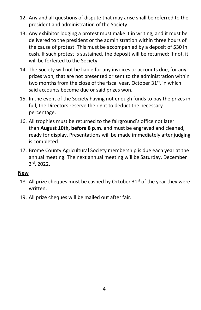- 12. Any and all questions of dispute that may arise shall be referred to the president and administration of the Society.
- 13. Any exhibitor lodging a protest must make it in writing, and it must be delivered to the president or the administration within three hours of the cause of protest. This must be accompanied by a deposit of \$30 in cash. If such protest is sustained, the deposit will be returned; if not, it will be forfeited to the Society.
- 14. The Society will not be liable for any invoices or accounts due, for any prizes won, that are not presented or sent to the administration within two months from the close of the fiscal year, October 31<sup>st</sup>, in which said accounts become due or said prizes won.
- 15. In the event of the Society having not enough funds to pay the prizes in full, the Directors reserve the right to deduct the necessary percentage.
- 16. All trophies must be returned to the fairground's office not later than **August 10th, before 8 p.m**. and must be engraved and cleaned, ready for display. Presentations will be made immediately after judging is completed.
- 17. Brome County Agricultural Society membership is due each year at the annual meeting. The next annual meeting will be Saturday, December 3 rd, 2022.

#### **New**

- 18. All prize cheques must be cashed by October  $31<sup>st</sup>$  of the year they were written.
- 19. All prize cheques will be mailed out after fair.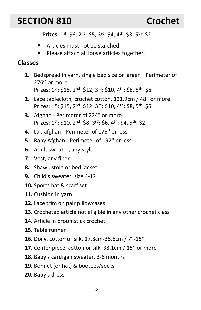## <span id="page-8-0"></span>**SECTION 810 Crochet**

Prizes: 1<sup>st</sup>: \$6, 2<sup>nd</sup>: \$5, 3<sup>rd</sup>: \$4, 4<sup>th</sup>: \$3, 5<sup>th</sup>: \$2

- Articles must not be starched.
- Please attach all loose articles together.

- **1.** Bedspread in yarn, single bed size or larger Perimeter of 276'' or more Prizes: 1<sup>st</sup>: \$15, 2<sup>nd</sup>: \$12, 3<sup>rd</sup>: \$10, 4<sup>th</sup>: \$8, 5<sup>th</sup>: \$6
- **2.** Lace tablecloth, crochet cotton, 121.9cm / 48'' or more Prizes: 1<sup>st</sup>: \$15, 2<sup>nd</sup>: \$12, 3<sup>rd</sup>: \$10, 4<sup>th</sup>: \$8, 5<sup>th</sup>: \$6
- **3.** Afghan Perimeter of 224" or more Prizes: 1st: \$10, 2<sup>nd</sup>: \$8, 3<sup>rd</sup>: \$6, 4<sup>th</sup>: \$4, 5<sup>th</sup>: \$2
- **4.** Lap afghan Perimeter of 176'' or less
- **5.** Baby Afghan Perimeter of 192'' or less
- **6.** Adult sweater, any style
- **7.** Vest, any fiber
- **8.** Shawl, stole or bed jacket
- **9.** Child's sweater, size 4-12
- **10.** Sports hat & scarf set
- **11.** Cushion in yarn
- **12.** Lace trim on pair pillowcases
- **13.** Crocheted article not eligible in any other crochet class
- **14.** Article in broomstick crochet
- **15.** Table runner
- **16.** Doily, cotton or silk, 17.8cm-35.6cm / 7''-15''
- **17.** Center piece, cotton or silk, 38.1cm / 15'' or more
- **18.** Baby's cardigan sweater, 3-6 months
- **19.** Bonnet (or hat) & bootees/socks
- **20.** Baby's dress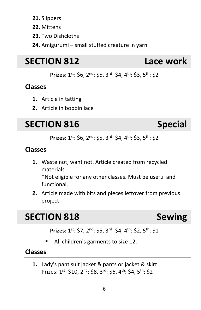#### **21.** Slippers

- **22.** Mittens
- **23.** Two Dishcloths
- **24.** Amigurumi small stuffed creature in yarn

## <span id="page-9-0"></span>**SECTION 812 Lace work**

**Prizes**: 1st: \$6, 2nd: \$5, 3rd: \$4, 4th: \$3, 5th: \$2

### **Classes**

- **1.** Article in tatting
- **2.** Article in bobbin lace

## <span id="page-9-1"></span>**SECTION 816 Special**

Prizes: 1<sup>st</sup>: \$6, 2<sup>nd</sup>: \$5, 3<sup>rd</sup>: \$4, 4<sup>th</sup>: \$3, 5<sup>th</sup>: \$2

#### **Classes**

- **1.** Waste not, want not. Article created from recycled materials \*Not eligible for any other classes. Must be useful and functional.
- **2.** Article made with bits and pieces leftover from previous project

## <span id="page-9-2"></span>**SECTION 818 Sewing**

Prizes: 1<sup>st</sup>: \$7, 2<sup>nd</sup>: \$5, 3<sup>rd</sup>: \$4, 4<sup>th</sup>: \$2, 5<sup>th</sup>: \$1

All children's garments to size 12.

### **Classes**

**1.** Lady's pant suit jacket & pants or jacket & skirt Prizes: 1<sup>st</sup>: \$10, 2<sup>nd</sup>: \$8, 3<sup>rd</sup>: \$6, 4<sup>th</sup>: \$4, 5<sup>th</sup>: \$2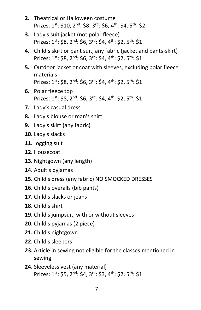- **2.** Theatrical or Halloween costume Prizes: 1<sup>st</sup>: \$10, 2<sup>nd</sup>: \$8, 3<sup>rd</sup>: \$6, 4<sup>th</sup>: \$4, 5<sup>th</sup>: \$2
- **3.** Lady's suit jacket (not polar fleece) Prizes: 1st: \$8, 2nd: \$6, 3rd: \$4, 4th: \$2, 5th: \$1
- **4.** Child's skirt or pant suit, any fabric (jacket and pants-skirt) Prizes: 1st: \$8, 2<sup>nd</sup>: \$6, 3<sup>rd</sup>: \$4, 4<sup>th</sup>: \$2, 5<sup>th</sup>: \$1
- **5.** Outdoor jacket or coat with sleeves, excluding polar fleece materials Prizes: 1<sup>st</sup>: \$8, 2<sup>nd</sup>: \$6, 3<sup>rd</sup>: \$4, 4<sup>th</sup>: \$2, 5<sup>th</sup>: \$1
- **6.** Polar fleece top Prizes: 1<sup>st</sup>: \$8, 2<sup>nd</sup>: \$6, 3<sup>rd</sup>: \$4, 4<sup>th</sup>: \$2, 5<sup>th</sup>: \$1
- **7.** Lady's casual dress
- **8.** Lady's blouse or man's shirt
- **9.** Lady's skirt (any fabric)
- **10.** Lady's slacks
- **11.** Jogging suit
- **12.** Housecoat
- **13.** Nightgown (any length)
- **14.** Adult's pyjamas
- **15.** Child's dress (any fabric) NO SMOCKED DRESSES
- **16.** Child's overalls (bib pants)
- **17.** Child's slacks or jeans
- **18.** Child's shirt
- **19.** Child's jumpsuit, with or without sleeves
- **20.** Child's pyjamas (2 piece)
- **21.** Child's nightgown
- **22.** Child's sleepers
- **23.** Article in sewing not eligible for the classes mentioned in sewing
- **24.** Sleeveless vest (any material) Prizes: 1<sup>st</sup>: \$5, 2<sup>nd</sup>: \$4, 3<sup>rd</sup>: \$3, 4<sup>th</sup>: \$2, 5<sup>th</sup>: \$1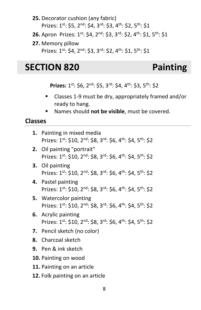- **25.** Decorator cushion (any fabric) Prizes: 1st: \$5, 2<sup>nd</sup>: \$4, 3<sup>rd</sup>: \$3, 4<sup>th</sup>: \$2, 5<sup>th</sup>: \$1
- **26.** Apron Prizes: 1<sup>st</sup>: \$4, 2<sup>nd</sup>: \$3, 3<sup>rd</sup>: \$2, 4<sup>th</sup>: \$1, 5<sup>th</sup>: \$1
- **27.** Memory pillow Prizes: 1st: \$4, 2nd: \$3, 3rd: \$2, 4th: \$1, 5th: \$1

## <span id="page-11-0"></span>**SECTION 820 Painting**

Prizes: 1<sup>st</sup>: \$6, 2<sup>nd</sup>: \$5, 3<sup>rd</sup>: \$4, 4<sup>th</sup>: \$3, 5<sup>th</sup>: \$2

- Classes 1-9 must be dry, appropriately framed and/or ready to hang.
- Names should **not be visible**, must be covered.

### **Classes**

**1.** Painting in mixed media Prizes: 1<sup>st</sup>: \$10, 2<sup>nd</sup>: \$8, 3<sup>rd</sup>: \$6, 4<sup>th</sup>: \$4, 5<sup>th</sup>: \$2 **2.** Oil painting "portrait" Prizes: 1st: \$10, 2<sup>nd</sup>: \$8, 3<sup>rd</sup>: \$6, 4<sup>th</sup>: \$4, 5<sup>th</sup>: \$2 **3.** Oil painting Prizes: 1st: \$10, 2<sup>nd</sup>: \$8, 3<sup>rd</sup>: \$6, 4<sup>th</sup>: \$4, 5<sup>th</sup>: \$2 **4.** Pastel painting Prizes: 1st: \$10, 2<sup>nd</sup>: \$8, 3<sup>rd</sup>: \$6, 4<sup>th</sup>: \$4, 5<sup>th</sup>: \$2 **5.** Watercolor painting Prizes: 1st: \$10, 2nd: \$8, 3rd: \$6, 4th: \$4, 5th: \$2 **6.** Acrylic painting Prizes: 1st: \$10, 2<sup>nd</sup>: \$8, 3<sup>rd</sup>: \$6, 4<sup>th</sup>: \$4, 5<sup>th</sup>: \$2 **7.** Pencil sketch (no color) **8.** Charcoal sketch **9.** Pen & ink sketch **10.** Painting on wood **11.** Painting on an article **12.** Folk painting on an article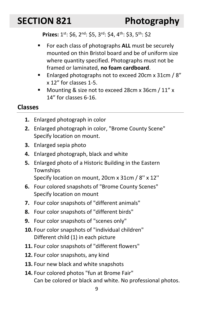<span id="page-12-0"></span>Prizes: 1<sup>st</sup>: \$6, 2<sup>nd</sup>: \$5, 3<sup>rd</sup>: \$4, 4<sup>th</sup>: \$3, 5<sup>th</sup>: \$2

- For each class of photographs **ALL** must be securely mounted on thin Bristol board and be of uniform size where quantity specified. Photographs must not be framed or laminated, **no foam cardboard**.
- Enlarged photographs not to exceed 20cm x 31cm / 8" x 12" for classes 1-5.
- Mounting & size not to exceed 28cm x 36cm / 11" x 14" for classes 6-16.

### **Classes**

- **1.** Enlarged photograph in color
- **2.** Enlarged photograph in color, "Brome County Scene" Specify location on mount.
- **3.** Enlarged sepia photo
- **4.** Enlarged photograph, black and white
- **5.** Enlarged photo of a Historic Building in the Eastern **Townships**

Specify location on mount, 20cm x 31cm / 8'' x 12''

- **6.** Four colored snapshots of "Brome County Scenes" Specify location on mount
- **7.** Four color snapshots of "different animals"
- **8.** Four color snapshots of "different birds"
- **9.** Four color snapshots of "scenes only"
- **10.** Four color snapshots of "individual children" Different child (1) in each picture
- **11.** Four color snapshots of "different flowers"
- **12.** Four color snapshots, any kind
- **13.** Four new black and white snapshots
- **14.** Four colored photos "fun at Brome Fair" Can be colored or black and white. No professional photos.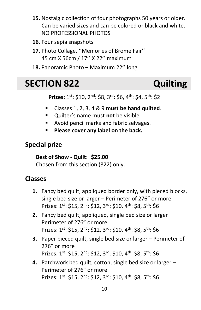- **15.** Nostalgic collection of four photographs 50 years or older. Can be varied sizes and can be colored or black and white. NO PROFESSIONAL PHOTOS
- **16.** Four sepia snapshots
- **17.** Photo Collage, ''Memories of Brome Fair'' 45 cm X 56cm / 17'' X 22'' maximum
- **18.** Panoramic Photo Maximum 22'' long

## <span id="page-13-0"></span>**SECTION 822 Quilting**

Prizes: 1<sup>st</sup>: \$10, 2<sup>nd</sup>: \$8, 3<sup>rd</sup>: \$6, 4<sup>th</sup>: \$4, 5<sup>th</sup>: \$2

- Classes 1, 2, 3, 4 & 9 **must be hand quilted**.
- Quilter's name must **not** be visible.
- Avoid pencil marks and fabric selvages.
- **Please cover any label on the back.**

### **Special prize**

#### **Best of Show - Quilt: \$25.00**

Chosen from this section (822) only.

- **1.** Fancy bed quilt, appliqued border only, with pieced blocks, single bed size or larger – Perimeter of 276" or more Prizes: 1<sup>st</sup>: \$15, 2<sup>nd</sup>: \$12, 3<sup>rd</sup>: \$10, 4<sup>th</sup>: \$8, 5<sup>th</sup>: \$6
- **2.** Fancy bed quilt, appliqued, single bed size or larger Perimeter of 276" or more Prizes: 1<sup>st</sup>: \$15, 2<sup>nd</sup>: \$12, 3<sup>rd</sup>: \$10, 4<sup>th</sup>: \$8, 5<sup>th</sup>: \$6
- **3.** Paper pieced quilt, single bed size or larger Perimeter of 276" or more Prizes: 1st: \$15, 2nd: \$12, 3rd: \$10, 4th: \$8, 5th: \$6
- **4.** Patchwork bed quilt, cotton, single bed size or larger Perimeter of 276" or more Prizes: 1<sup>st</sup>: \$15, 2<sup>nd</sup>: \$12, 3<sup>rd</sup>: \$10, 4<sup>th</sup>: \$8, 5<sup>th</sup>: \$6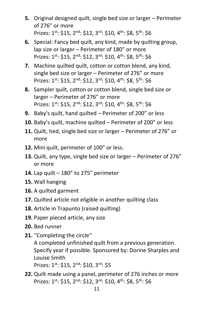- **5.** Original designed quilt, single bed size or larger Perimeter of 276" or more Prizes: 1<sup>st</sup>: \$15, 2<sup>nd</sup>: \$12, 3<sup>rd</sup>: \$10, 4<sup>th</sup>: \$8, 5<sup>th</sup>: \$6
- **6.** Special: Fancy bed quilt, any kind, made by quilting group, lap size or larger – Perimeter of 180" or more Prizes: 1st: \$15, 2nd: \$12, 3rd: \$10, 4th: \$8, 5th: \$6
- **7.** Machine quilted quilt, cotton or cotton blend, any kind, single bed size or larger – Perimeter of 276" or more Prizes: 1<sup>st</sup>: \$15, 2<sup>nd</sup>: \$12, 3<sup>rd</sup>: \$10, 4<sup>th</sup>: \$8, 5<sup>th</sup>: \$6
- **8.** Sampler quilt, cotton or cotton blend, single bed size or larger – Perimeter of 276" or more Prizes: 1<sup>st</sup>: \$15, 2<sup>nd</sup>: \$12, 3<sup>rd</sup>: \$10, 4<sup>th</sup>: \$8, 5<sup>th</sup>: \$6
- **9.** Baby's quilt, hand quilted Perimeter of 200" or less
- **10.** Baby's quilt, machine quilted Perimeter of 200" or less
- **11.** Quilt, tied, single bed size or larger Perimeter of 276" or more
- **12.** Mini quilt, perimeter of 100" or less.
- **13.** Quilt, any type, single bed size or larger Perimeter of 276" or more
- **14.** Lap quilt 180" to 275" perimeter
- **15.** Wall hanging
- **16.** A quilted garment
- **17.** Quilted article not eligible in another quilting class
- **18.** Article in Trapunto (raised quilting)
- **19.** Paper pieced article, any size
- **20.** Bed runner
- **21.** ''Completing the circle'' A completed unfinished quilt from a previous generation. Specify year if possible. Sponsored by: Dorine Sharples and Louise Smith Prizes: 1st: \$15, 2nd: \$10, 3rd: \$5
- **22.** Quilt made using a panel, perimeter of 276 inches or more Prizes: 1st: \$15, 2nd: \$12, 3rd: \$10, 4th: \$8, 5th: \$6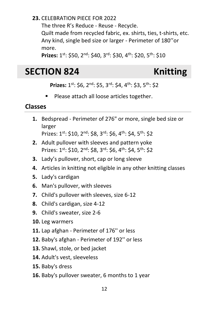### **23.** CELEBRATION PIECE FOR 2022

The three R's Reduce - Reuse - Recycle.

Quilt made from recycled fabric, ex. shirts, ties, t-shirts, etc. Any kind, single bed size or larger - Perimeter of 180''or more.

**Prizes:** 1 st: \$50, 2nd: \$40, 3rd: \$30, 4th: \$20, 5th: \$10

## <span id="page-15-0"></span>**SECTION 824 Knitting**

Prizes: 1<sup>st</sup>: \$6, 2<sup>nd</sup>: \$5, 3<sup>rd</sup>: \$4, 4<sup>th</sup>: \$3, 5<sup>th</sup>: \$2

■ Please attach all loose articles together.

### **Classes**

**1.** Bedspread - Perimeter of 276" or more, single bed size or larger

Prizes: 1st: \$10, 2nd: \$8, 3rd: \$6, 4th: \$4, 5th: \$2

- **2.** Adult pullover with sleeves and pattern yoke Prizes: 1st: \$10, 2nd: \$8, 3rd: \$6, 4th: \$4, 5th: \$2
- **3.** Lady's pullover, short, cap or long sleeve
- **4.** Articles in knitting not eligible in any other knitting classes
- **5.** Lady's cardigan
- **6.** Man's pullover, with sleeves
- **7.** Child's pullover with sleeves, size 6-12
- **8.** Child's cardigan, size 4-12
- **9.** Child's sweater, size 2-6
- **10.** Leg warmers
- **11.** Lap afghan Perimeter of 176'' or less
- **12.** Baby's afghan Perimeter of 192'' or less
- **13.** Shawl, stole, or bed jacket
- **14.** Adult's vest, sleeveless
- **15.** Baby's dress
- **16.** Baby's pullover sweater, 6 months to 1 year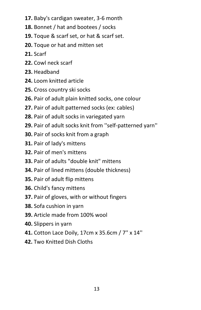- **17.** Baby's cardigan sweater, 3-6 month
- **18.** Bonnet / hat and bootees / socks
- **19.** Toque & scarf set, or hat & scarf set.
- **20.** Toque or hat and mitten set
- **21.** Scarf
- **22.** Cowl neck scarf
- **23.** Headband
- **24.** Loom knitted article
- **25.** Cross country ski socks
- **26.** Pair of adult plain knitted socks, one colour
- **27.** Pair of adult patterned socks (ex: cables)
- **28.** Pair of adult socks in variegated yarn
- **29.** Pair of adult socks knit from ''self-patterned yarn''
- **30.** Pair of socks knit from a graph
- **31.** Pair of lady's mittens
- **32.** Pair of men's mittens
- **33.** Pair of adults "double knit" mittens
- **34.** Pair of lined mittens (double thickness)
- **35.** Pair of adult flip mittens
- **36.** Child's fancy mittens
- **37.** Pair of gloves, with or without fingers
- **38.** Sofa cushion in yarn
- **39.** Article made from 100% wool
- **40.** Slippers in yarn
- **41.** Cotton Lace Doily, 17cm x 35.6cm / 7'' x 14''
- **42.** Two Knitted Dish Cloths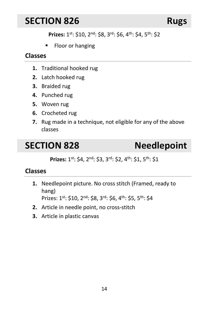## <span id="page-17-0"></span>**SECTION 826 Rugs**

Prizes: 1<sup>st</sup>: \$10, 2<sup>nd</sup>: \$8, 3<sup>rd</sup>: \$6, 4<sup>th</sup>: \$4, 5<sup>th</sup>: \$2

■ Floor or hanging

### **Classes**

- **1.** Traditional hooked rug
- **2.** Latch hooked rug
- **3.** Braided rug
- **4.** Punched rug
- **5.** Woven rug
- **6.** Crocheted rug
- **7.** Rug made in a technique, not eligible for any of the above classes

## <span id="page-17-1"></span>**SECTION 828 Needlepoint**

Prizes: 1<sup>st</sup>: \$4, 2<sup>nd</sup>: \$3, 3<sup>rd</sup>: \$2, 4<sup>th</sup>: \$1, 5<sup>th</sup>: \$1

## **Classes**

**1.** Needlepoint picture. No cross stitch (Framed, ready to hang)

Prizes: 1st: \$10, 2nd: \$8, 3rd: \$6, 4th: \$5, 5th: \$4

- **2.** Article in needle point, no cross-stitch
- **3.** Article in plastic canvas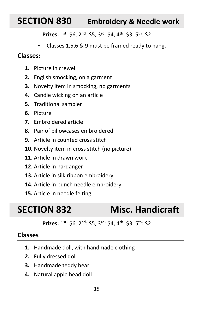## <span id="page-18-0"></span>**SECTION 830 Embroidery & Needle work**

Prizes: 1<sup>st</sup>: \$6, 2<sup>nd</sup>: \$5, 3<sup>rd</sup>: \$4, 4<sup>th</sup>: \$3, 5<sup>th</sup>: \$2

■ Classes 1,5,6 & 9 must be framed ready to hang.

#### **Classes:**

- **1.** Picture in crewel
- **2.** English smocking, on a garment
- **3.** Novelty item in smocking, no garments
- **4.** Candle wicking on an article
- **5.** Traditional sampler
- **6.** Picture
- **7.** Embroidered article
- **8.** Pair of pillowcases embroidered
- **9.** Article in counted cross stitch
- **10.** Novelty item in cross stitch (no picture)
- **11.** Article in drawn work
- **12.** Article in hardanger
- **13.** Article in silk ribbon embroidery
- **14.** Article in punch needle embroidery
- **15.** Article in needle felting

## <span id="page-18-1"></span>**SECTION 832 Misc. Handicraft**

Prizes: 1<sup>st</sup>: \$6, 2<sup>nd</sup>: \$5, 3<sup>rd</sup>: \$4, 4<sup>th</sup>: \$3, 5<sup>th</sup>: \$2

- **1.** Handmade doll, with handmade clothing
- **2.** Fully dressed doll
- **3.** Handmade teddy bear
- **4.** Natural apple head doll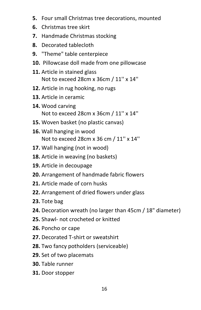- **5.** Four small Christmas tree decorations, mounted
- **6.** Christmas tree skirt
- **7.** Handmade Christmas stocking
- **8.** Decorated tablecloth
- **9.** "Theme" table centerpiece
- **10.** Pillowcase doll made from one pillowcase
- **11.** Article in stained glass Not to exceed 28cm x 36cm / 11'' x 14''
- **12.** Article in rug hooking, no rugs
- **13.** Article in ceramic
- **14.** Wood carving Not to exceed 28cm x 36cm / 11'' x 14''
- **15.** Woven basket (no plastic canvas)
- **16.** Wall hanging in wood Not to exceed 28cm x 36 cm / 11'' x 14''
- **17.** Wall hanging (not in wood)
- **18.** Article in weaving (no baskets)
- **19.** Article in decoupage
- **20.** Arrangement of handmade fabric flowers
- **21.** Article made of corn husks
- **22.** Arrangement of dried flowers under glass
- **23.** Tote bag
- **24.** Decoration wreath (no larger than 45cm / 18" diameter)
- **25.** Shawl- not crocheted or knitted
- **26.** Poncho or cape
- **27.** Decorated T-shirt or sweatshirt
- **28.** Two fancy potholders (serviceable)
- **29.** Set of two placemats
- **30.** Table runner
- **31.** Door stopper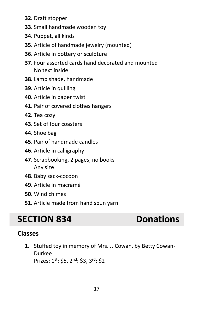- **32.** Draft stopper
- **33.** Small handmade wooden toy
- **34.** Puppet, all kinds
- **35.** Article of handmade jewelry (mounted)
- **36.** Article in pottery or sculpture
- **37.** Four assorted cards hand decorated and mounted No text inside
- **38.** Lamp shade, handmade
- **39.** Article in quilling
- **40.** Article in paper twist
- **41.** Pair of covered clothes hangers
- **42.** Tea cozy
- **43.** Set of four coasters
- **44.** Shoe bag
- **45.** Pair of handmade candles
- **46.** Article in calligraphy
- **47.** Scrapbooking, 2 pages, no books Any size
- **48.** Baby sack-cocoon
- **49.** Article in macramé
- **50.** Wind chimes
- **51.** Article made from hand spun yarn

# <span id="page-20-0"></span>**SECTION 834 Donations**

## **Classes**

**1.** Stuffed toy in memory of Mrs. J. Cowan, by Betty Cowan-Durkee Prizes: 1st: \$5, 2nd: \$3, 3rd: \$2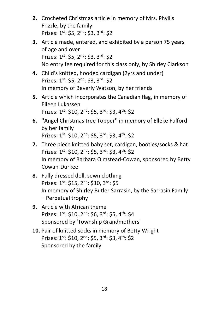- **2.** Crocheted Christmas article in memory of Mrs. Phyllis Frizzle, by the family Prizes: 1<sup>st</sup>: \$5, 2<sup>nd</sup>: \$3, 3<sup>rd</sup>: \$2
- **3.** Article made, entered, and exhibited by a person 75 years of age and over Prizes: 1st: \$5, 2nd: \$3, 3rd: \$2 No entry fee required for this class only, by Shirley Clarkson
- **4.** Child's knitted, hooded cardigan (2yrs and under) Prizes: 1st: \$5, 2nd: \$3, 3rd: \$2 In memory of Beverly Watson, by her friends
- **5.** Article which incorporates the Canadian flag, in memory of Eileen Lukassen Prizes: 1st: \$10, 2<sup>nd</sup>: \$5, 3<sup>rd</sup>: \$3, 4<sup>th</sup>: \$2
- **6.** ''Angel Christmas tree Topper'' in memory of Elleke Fulford by her family Prizes:  $1^{st}$ : \$10,  $2^{nd}$ : \$5,  $3^{rd}$ : \$3,  $4^{th}$ : \$2
- **7.** Three piece knitted baby set, cardigan, booties/socks & hat Prizes:  $1^{st}$ : \$10,  $2^{nd}$ : \$5,  $3^{rd}$ : \$3,  $4^{th}$ : \$2 In memory of Barbara Olmstead-Cowan, sponsored by Betty Cowan-Durkee
- **8.** Fully dressed doll, sewn clothing Prizes: 1st: \$15, 2<sup>nd</sup>: \$10, 3<sup>rd</sup>: \$5 In memory of Shirley Butler Sarrasin, by the Sarrasin Family – Perpetual trophy
- **9.** Article with African theme Prizes: 1<sup>st</sup>: \$10, 2<sup>nd</sup>: \$6, 3<sup>rd</sup>: \$5, 4<sup>th</sup>: \$4 Sponsored by 'Township Grandmothers'
- **10.** Pair of knitted socks in memory of Betty Wright Prizes: 1st: \$10, 2<sup>nd</sup>: \$5, 3<sup>rd</sup>: \$3, 4<sup>th</sup>: \$2 Sponsored by the family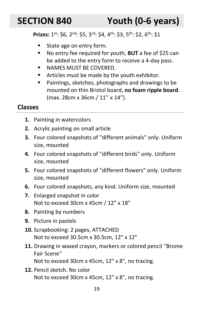<span id="page-22-0"></span>**SECTION 840 Youth (0-6 years)**

**Prizes:** 1<sup>st</sup>: \$6, 2<sup>nd</sup>: \$5, 3<sup>rd</sup>: \$4, 4<sup>th</sup>: \$3, 5<sup>th</sup>: \$2, 6<sup>th</sup>: \$1

- State age on entry form.
- No entry fee required for youth, **BUT** a fee of \$25 can be added to the entry form to receive a 4-day pass.
- NAMES MUST BE COVERED.
- Articles must be made by the youth exhibitor.
- Paintings, sketches, photographs and drawings to be mounted on thin Bristol board, **no foam ripple board**. (max. 28cm x 36cm / 11'' x 14").

- **1.** Painting in watercolors
- **2.** Acrylic painting on small article
- **3.** Four colored snapshots of "different animals" only. Uniform size, mounted
- **4.** Four colored snapshots of "different birds" only. Uniform size, mounted
- **5.** Four colored snapshots of "different flowers" only. Uniform size, mounted
- **6.** Four colored snapshots, any kind. Uniform size, mounted
- **7.** Enlarged snapshot in color Not to exceed 30cm x 45cm / 12" x 18"
- **8.** Painting by numbers
- **9.** Picture in pastels
- **10.** Scrapbooking: 2 pages, ATTACHED Not to exceed 30.5cm x 30.5cm, 12" x 12"
- **11.** Drawing in waxed crayon, markers or colored pencil ''Brome Fair Scene''
	- Not to exceed 30cm x 45cm, 12" x 8", no tracing.
- **12.** Pencil sketch. No color Not to exceed 30cm x 45cm, 12" x 8", no tracing.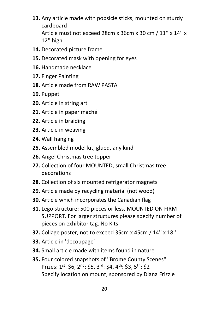- **13.** Any article made with popsicle sticks, mounted on sturdy cardboard Article must not exceed 28cm x 36cm x 30 cm / 11'' x 14'' x 12'' high
- **14.** Decorated picture frame
- **15.** Decorated mask with opening for eyes
- **16.** Handmade necklace
- **17.** Finger Painting
- **18.** Article made from RAW PASTA
- **19.** Puppet
- **20.** Article in string art
- **21.** Article in paper maché
- **22.** Article in braiding
- **23.** Article in weaving
- **24.** Wall hanging
- **25.** Assembled model kit, glued, any kind
- **26.** Angel Christmas tree topper
- **27.** Collection of four MOUNTED, small Christmas tree decorations
- **28.** Collection of six mounted refrigerator magnets
- **29.** Article made by recycling material (not wood)
- **30.** Article which incorporates the Canadian flag
- **31.** Lego structure: 500 pieces or less, MOUNTED ON FIRM SUPPORT. For larger structures please specify number of pieces on exhibitor tag. No Kits
- **32.** Collage poster, not to exceed 35cm x 45cm / 14'' x 18''
- **33.** Article in 'decoupage'
- **34.** Small article made with items found in nature
- **35.** Four colored snapshots of ''Brome County Scenes'' Prizes: 1<sup>st</sup>: \$6, 2<sup>nd</sup>: \$5, 3<sup>rd</sup>: \$4, 4<sup>th</sup>: \$3, 5<sup>th</sup>: \$2 Specify location on mount, sponsored by Diana Frizzle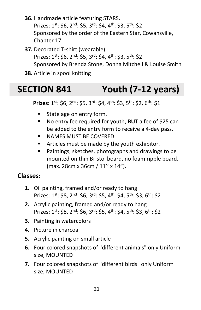- **36.** Handmade article featuring STARS. Prizes: 1<sup>st</sup>: \$6, 2<sup>nd</sup>: \$5, 3<sup>rd</sup>: \$4, 4<sup>th</sup>: \$3, 5<sup>th</sup>: \$2 Sponsored by the order of the Eastern Star, Cowansville, Chapter 17
- **37.** Decorated T-shirt (wearable) Prizes: 1st: \$6, 2<sup>nd</sup>: \$5, 3<sup>rd</sup>: \$4, 4<sup>th</sup>: \$3, 5<sup>th</sup>: \$2 Sponsored by Brenda Stone, Donna Mitchell & Louise Smith
- **38.** Article in spool knitting

# <span id="page-24-0"></span>**SECTION 841 Youth (7-12 years)**

**Prizes:** 1<sup>st</sup>: \$6, 2<sup>nd</sup>: \$5, 3<sup>rd</sup>: \$4, 4<sup>th</sup>: \$3, 5<sup>th</sup>: \$2, 6<sup>th</sup>: \$1

- State age on entry form.
- No entry fee required for youth, **BUT** a fee of \$25 can be added to the entry form to receive a 4-day pass.
- NAMES MUST BE COVERED.
- Articles must be made by the youth exhibitor.
- Paintings, sketches, photographs and drawings to be mounted on thin Bristol board, no foam ripple board. (max. 28cm x 36cm / 11'' x 14").

- **1.** Oil painting, framed and/or ready to hang Prizes: 1<sup>st</sup>: \$8, 2<sup>nd</sup>: \$6, 3<sup>rd</sup>: \$5, 4<sup>th</sup>: \$4, 5<sup>th</sup>: \$3, 6<sup>th</sup>: \$2
- **2.** Acrylic painting, framed and/or ready to hang Prizes:  $1^{st}$ : \$8,  $2^{nd}$ : \$6,  $3^{rd}$ : \$5,  $4^{th}$ : \$4,  $5^{th}$ : \$3,  $6^{th}$ : \$2
- **3.** Painting in watercolors
- **4.** Picture in charcoal
- **5.** Acrylic painting on small article
- **6.** Four colored snapshots of "different animals" only Uniform size, MOUNTED
- **7.** Four colored snapshots of "different birds" only Uniform size, MOUNTED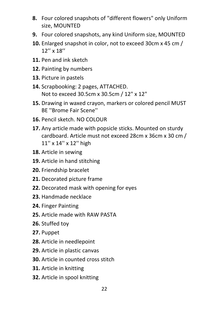- **8.** Four colored snapshots of "different flowers" only Uniform size, MOUNTED
- **9.** Four colored snapshots, any kind Uniform size, MOUNTED
- **10.** Enlarged snapshot in color, not to exceed 30cm x 45 cm / 12'' x 18''
- **11.** Pen and ink sketch
- **12.** Painting by numbers
- **13.** Picture in pastels
- **14.** Scrapbooking: 2 pages, ATTACHED. Not to exceed 30.5cm x 30.5cm / 12" x 12"
- **15.** Drawing in waxed crayon, markers or colored pencil MUST BE ''Brome Fair Scene''
- **16.** Pencil sketch. NO COLOUR
- **17.** Any article made with popsicle sticks. Mounted on sturdy cardboard. Article must not exceed 28cm x 36cm x 30 cm / 11'' x 14'' x 12'' high
- **18.** Article in sewing
- **19.** Article in hand stitching
- **20.** Friendship bracelet
- **21.** Decorated picture frame
- **22.** Decorated mask with opening for eyes
- **23.** Handmade necklace
- **24.** Finger Painting
- **25.** Article made with RAW PASTA
- **26.** Stuffed toy
- **27.** Puppet
- **28.** Article in needlepoint
- **29.** Article in plastic canvas
- **30.** Article in counted cross stitch
- **31.** Article in knitting
- **32.** Article in spool knitting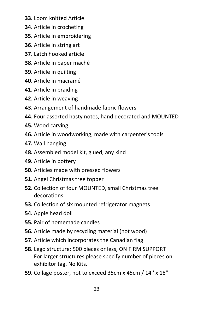- **33.** Loom knitted Article
- **34.** Article in crocheting
- **35.** Article in embroidering
- **36.** Article in string art
- **37.** Latch hooked article
- **38.** Article in paper maché
- **39.** Article in quilting
- **40.** Article in macramé
- **41.** Article in braiding
- **42.** Article in weaving
- **43.** Arrangement of handmade fabric flowers
- **44.** Four assorted hasty notes, hand decorated and MOUNTED
- **45.** Wood carving
- **46.** Article in woodworking, made with carpenter's tools
- **47.** Wall hanging
- **48.** Assembled model kit, glued, any kind
- **49.** Article in pottery
- **50.** Articles made with pressed flowers
- **51.** Angel Christmas tree topper
- **52.** Collection of four MOUNTED, small Christmas tree decorations
- **53.** Collection of six mounted refrigerator magnets
- **54.** Apple head doll
- **55.** Pair of homemade candles
- **56.** Article made by recycling material (not wood)
- **57.** Article which incorporates the Canadian flag
- **58.** Lego structure: 500 pieces or less, ON FIRM SUPPORT For larger structures please specify number of pieces on exhibitor tag. No Kits.
- **59.** Collage poster, not to exceed 35cm x 45cm / 14'' x 18''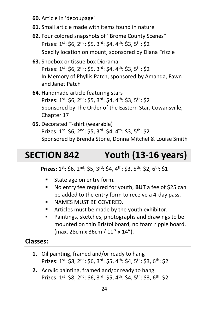- **60.** Article in 'decoupage'
- **61.** Small article made with items found in nature
- **62.** Four colored snapshots of ''Brome County Scenes'' Prizes: 1st: \$6, 2<sup>nd</sup>: \$5, 3<sup>rd</sup>: \$4, 4<sup>th</sup>: \$3, 5<sup>th</sup>: \$2 Specify location on mount, sponsored by Diana Frizzle
- **63.** Shoebox or tissue box Diorama Prizes:  $1^{st}$ : \$6,  $2^{nd}$ : \$5,  $3^{rd}$ : \$4,  $4^{th}$ : \$3,  $5^{th}$ : \$2 In Memory of Phyllis Patch, sponsored by Amanda, Fawn and Janet Patch
- **64.** Handmade article featuring stars Prizes: 1<sup>st</sup>: \$6, 2<sup>nd</sup>: \$5, 3<sup>rd</sup>: \$4, 4<sup>th</sup>: \$3, 5<sup>th</sup>: \$2 Sponsored by The Order of the Eastern Star, Cowansville, Chapter 17
- **65.** Decorated T-shirt (wearable) Prizes: 1st: \$6, 2nd: \$5, 3rd: \$4, 4th: \$3, 5th: \$2 Sponsored by Brenda Stone, Donna Mitchel & Louise Smith

# <span id="page-27-0"></span>**SECTION 842 Youth (13-16 years)**

**Prizes:** 1<sup>st</sup>: \$6, 2<sup>nd</sup>: \$5, 3<sup>rd</sup>: \$4, 4<sup>th</sup>: \$3, 5<sup>th</sup>: \$2, 6<sup>th</sup>: \$1

- State age on entry form.
- No entry fee required for youth, **BUT** a fee of \$25 can be added to the entry form to receive a 4-day pass.
- **E** NAMES MUST BE COVERED.
- Articles must be made by the youth exhibitor.
- Paintings, sketches, photographs and drawings to be mounted on thin Bristol board, no foam ripple board. (max. 28cm x 36cm / 11'' x 14").

- **1.** Oil painting, framed and/or ready to hang Prizes:  $1^{st}$ : \$8,  $2^{nd}$ : \$6,  $3^{rd}$ : \$5,  $4^{th}$ : \$4,  $5^{th}$ : \$3,  $6^{th}$ : \$2
- **2.** Acrylic painting, framed and/or ready to hang Prizes:  $1^{st}$ : \$8,  $2^{nd}$ : \$6,  $3^{rd}$ : \$5,  $4^{th}$ : \$4,  $5^{th}$ : \$3,  $6^{th}$ : \$2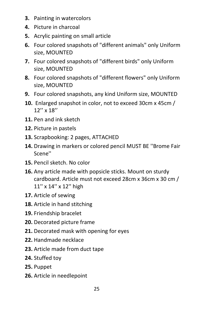- **3.** Painting in watercolors
- **4.** Picture in charcoal
- **5.** Acrylic painting on small article
- **6.** Four colored snapshots of "different animals" only Uniform size, MOUNTED
- **7.** Four colored snapshots of "different birds" only Uniform size, MOUNTED
- **8.** Four colored snapshots of "different flowers" only Uniform size, MOUNTED
- **9.** Four colored snapshots, any kind Uniform size, MOUNTED
- **10.** Enlarged snapshot in color, not to exceed 30cm x 45cm / 12'' x 18''
- **11.** Pen and ink sketch
- **12.** Picture in pastels
- **13.** Scrapbooking: 2 pages, ATTACHED
- **14.** Drawing in markers or colored pencil MUST BE ''Brome Fair Scene''
- **15.** Pencil sketch. No color
- **16.** Any article made with popsicle sticks. Mount on sturdy cardboard. Article must not exceed 28cm x 36cm x 30 cm / 11'' x 14'' x 12'' high
- **17.** Article of sewing
- **18.** Article in hand stitching
- **19.** Friendship bracelet
- **20.** Decorated picture frame
- **21.** Decorated mask with opening for eyes
- **22.** Handmade necklace
- **23.** Article made from duct tape
- **24.** Stuffed toy
- **25.** Puppet
- **26.** Article in needlepoint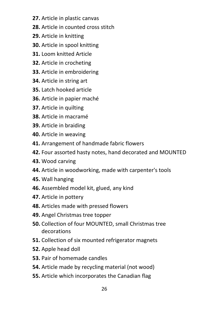- **27.** Article in plastic canvas
- **28.** Article in counted cross stitch
- **29.** Article in knitting
- **30.** Article in spool knitting
- **31.** Loom knitted Article
- **32.** Article in crocheting
- **33.** Article in embroidering
- **34.** Article in string art
- **35.** Latch hooked article
- **36.** Article in papier maché
- **37.** Article in quilting
- **38.** Article in macramé
- **39.** Article in braiding
- **40.** Article in weaving
- **41.** Arrangement of handmade fabric flowers
- **42.** Four assorted hasty notes, hand decorated and MOUNTED
- **43.** Wood carving
- **44.** Article in woodworking, made with carpenter's tools
- **45.** Wall hanging
- **46.** Assembled model kit, glued, any kind
- **47.** Article in pottery
- **48.** Articles made with pressed flowers
- **49.** Angel Christmas tree topper
- **50.** Collection of four MOUNTED, small Christmas tree decorations
- **51.** Collection of six mounted refrigerator magnets
- **52.** Apple head doll
- **53.** Pair of homemade candles
- **54.** Article made by recycling material (not wood)
- **55.** Article which incorporates the Canadian flag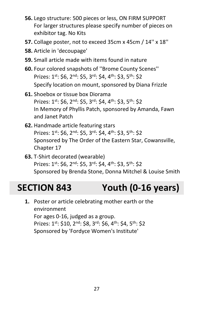- **56.** Lego structure: 500 pieces or less, ON FIRM SUPPORT For larger structures please specify number of pieces on exhibitor tag. No Kits
- **57.** Collage poster, not to exceed 35cm x 45cm / 14'' x 18''
- **58.** Article in 'decoupage'
- **59.** Small article made with items found in nature
- **60.** Four colored snapshots of ''Brome County Scenes'' Prizes: 1<sup>st</sup>: \$6, 2<sup>nd</sup>: \$5, 3<sup>rd</sup>: \$4, 4<sup>th</sup>: \$3, 5<sup>th</sup>: \$2 Specify location on mount, sponsored by Diana Frizzle
- **61.** Shoebox or tissue box Diorama Prizes:  $1^{st}$ : \$6,  $2^{nd}$ : \$5,  $3^{rd}$ : \$4,  $4^{th}$ : \$3,  $5^{th}$ : \$2 In Memory of Phyllis Patch, sponsored by Amanda, Fawn and Janet Patch
- **62.** Handmade article featuring stars Prizes: 1st: \$6, 2nd: \$5, 3rd: \$4, 4th: \$3, 5th: \$2 Sponsored by The Order of the Eastern Star, Cowansville, Chapter 17
- **63.** T-Shirt decorated (wearable) Prizes: 1<sup>st</sup>: \$6, 2<sup>nd</sup>: \$5, 3<sup>rd</sup>: \$4, 4<sup>th</sup>: \$3, 5<sup>th</sup>: \$2 Sponsored by Brenda Stone, Donna Mitchel & Louise Smith

# <span id="page-30-0"></span>**SECTION 843 Youth (0-16 years)**

**1.** Poster or article celebrating mother earth or the environment For ages 0-16, judged as a group. Prizes: 1<sup>st</sup>: \$10, 2<sup>nd</sup>: \$8, 3<sup>rd</sup>: \$6, 4<sup>th</sup>: \$4, 5<sup>th</sup>: \$2 Sponsored by 'Fordyce Women's Institute'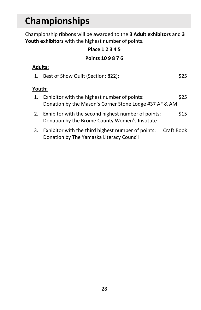# <span id="page-31-0"></span>**Championships**

Championship ribbons will be awarded to the **3 Adult exhibitors** and **3 Youth exhibitors** with the highest number of points.

## **Place 1 2 3 4 5**

#### **Points 10 9 8 7 6**

#### **Adults:**

| 1. Best of Show Quilt (Section: 822): | \$25 |
|---------------------------------------|------|
|                                       |      |

#### **Youth:**

| 1. Exhibitor with the highest number of points:        | \$25 |
|--------------------------------------------------------|------|
| Donation by the Mason's Corner Stone Lodge #37 AF & AM |      |
| 2. Exhibitor with the second highest number of points: | \$15 |
| Donation by the Brome County Women's Institute         |      |

3. Exhibitor with the third highest number of points: Craft Book Donation by The Yamaska Literacy Council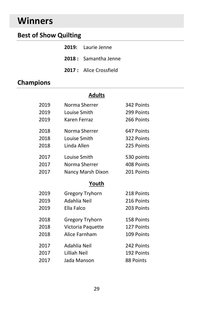# <span id="page-32-0"></span>**Winners**

## **Best of Show Quilting**

| <b>2019:</b> Laurie Jenne     |
|-------------------------------|
| 2018: Samantha Jenne          |
| <b>2017:</b> Alice Crossfield |

## **Champions**

#### **Adults**

| 2019 | Norma Sherrer          | 342 Points |
|------|------------------------|------------|
| 2019 | Louise Smith           | 299 Points |
| 2019 | Karen Ferraz           | 266 Points |
| 2018 | Norma Sherrer          | 647 Points |
| 2018 | Louise Smith           | 322 Points |
| 2018 | Linda Allen            | 225 Points |
| 2017 | Louise Smith           | 530 points |
| 2017 | Norma Sherrer          | 408 Points |
| 2017 | Nancy Marsh Dixon      | 201 Points |
|      | Youth                  |            |
|      | <b>Gregory Tryhorn</b> | 218 Points |
| 2019 |                        |            |
| 2019 | Adahlia Neil           | 216 Points |
| 2019 | Ella Falco             | 203 Points |
| 2018 | <b>Gregory Tryhorn</b> | 158 Points |
| 2018 | Victoria Paquette      | 127 Points |
| 2018 | Alice Farnham          | 109 Points |
| 2017 | Adahlia Neil           | 242 Points |
| 2017 | Lilliah Neil           | 192 Points |